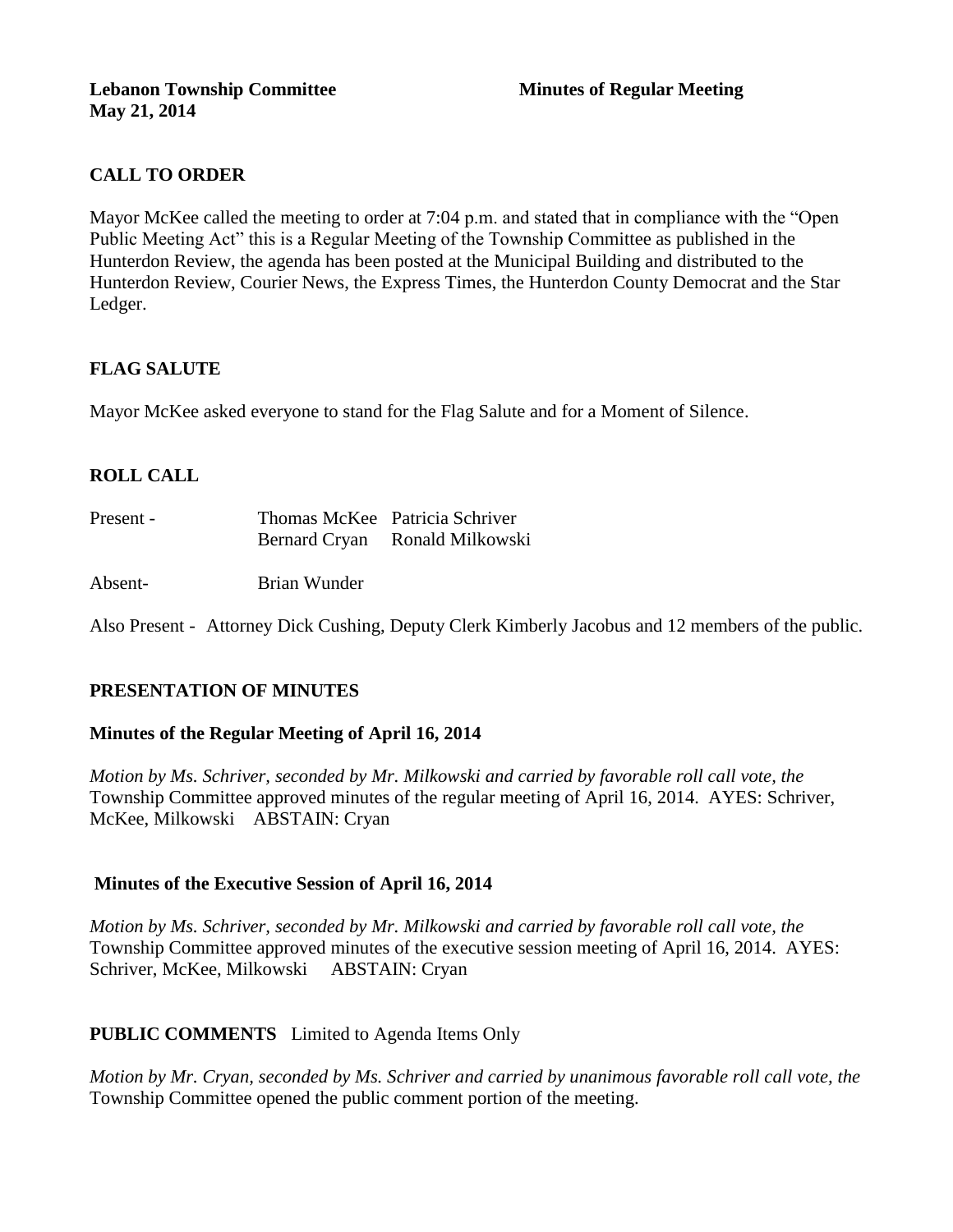# **CALL TO ORDER**

Mayor McKee called the meeting to order at 7:04 p.m. and stated that in compliance with the "Open Public Meeting Act" this is a Regular Meeting of the Township Committee as published in the Hunterdon Review, the agenda has been posted at the Municipal Building and distributed to the Hunterdon Review, Courier News, the Express Times, the Hunterdon County Democrat and the Star Ledger.

# **FLAG SALUTE**

Mayor McKee asked everyone to stand for the Flag Salute and for a Moment of Silence.

# **ROLL CALL**

| Present - |                      | Thomas McKee Patricia Schriver |
|-----------|----------------------|--------------------------------|
|           | <b>Bernard Cryan</b> | Ronald Milkowski               |

Absent- Brian Wunder

Also Present - Attorney Dick Cushing, Deputy Clerk Kimberly Jacobus and 12 members of the public.

## **PRESENTATION OF MINUTES**

## **Minutes of the Regular Meeting of April 16, 2014**

*Motion by Ms. Schriver, seconded by Mr. Milkowski and carried by favorable roll call vote, the*  Township Committee approved minutes of the regular meeting of April 16, 2014. AYES: Schriver, McKee, Milkowski ABSTAIN: Cryan

## **Minutes of the Executive Session of April 16, 2014**

*Motion by Ms. Schriver, seconded by Mr. Milkowski and carried by favorable roll call vote, the*  Township Committee approved minutes of the executive session meeting of April 16, 2014. AYES: Schriver, McKee, Milkowski ABSTAIN: Cryan

## **PUBLIC COMMENTS** Limited to Agenda Items Only

*Motion by Mr. Cryan, seconded by Ms. Schriver and carried by unanimous favorable roll call vote, the* Township Committee opened the public comment portion of the meeting.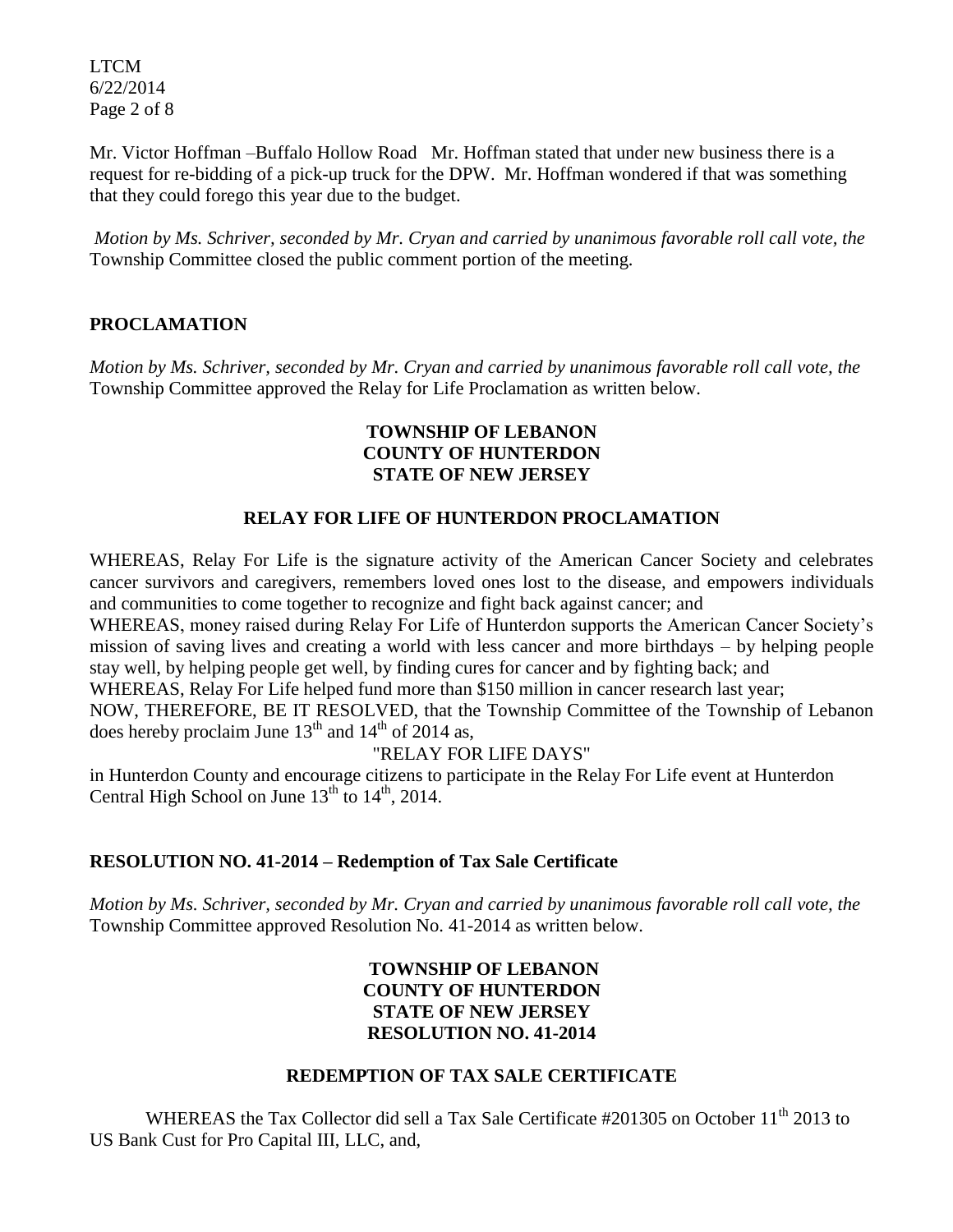LTCM 6/22/2014 Page 2 of 8

Mr. Victor Hoffman –Buffalo Hollow Road Mr. Hoffman stated that under new business there is a request for re-bidding of a pick-up truck for the DPW. Mr. Hoffman wondered if that was something that they could forego this year due to the budget.

*Motion by Ms. Schriver, seconded by Mr. Cryan and carried by unanimous favorable roll call vote, the*  Township Committee closed the public comment portion of the meeting.

# **PROCLAMATION**

*Motion by Ms. Schriver, seconded by Mr. Cryan and carried by unanimous favorable roll call vote, the*  Township Committee approved the Relay for Life Proclamation as written below.

#### **TOWNSHIP OF LEBANON COUNTY OF HUNTERDON STATE OF NEW JERSEY**

## **RELAY FOR LIFE OF HUNTERDON PROCLAMATION**

WHEREAS, Relay For Life is the signature activity of the American Cancer Society and celebrates cancer survivors and caregivers, remembers loved ones lost to the disease, and empowers individuals and communities to come together to recognize and fight back against cancer; and WHEREAS, money raised during Relay For Life of Hunterdon supports the American Cancer Society's mission of saving lives and creating a world with less cancer and more birthdays – by helping people stay well, by helping people get well, by finding cures for cancer and by fighting back; and WHEREAS, Relay For Life helped fund more than \$150 million in cancer research last year; NOW, THEREFORE, BE IT RESOLVED, that the Township Committee of the Township of Lebanon

does hereby proclaim June  $13<sup>th</sup>$  and  $14<sup>th</sup>$  of 2014 as,

## "RELAY FOR LIFE DAYS"

in Hunterdon County and encourage citizens to participate in the Relay For Life event at Hunterdon Central High School on June  $13<sup>th</sup>$  to  $14<sup>th</sup>$ , 2014.

## **RESOLUTION NO. 41-2014 – Redemption of Tax Sale Certificate**

*Motion by Ms. Schriver, seconded by Mr. Cryan and carried by unanimous favorable roll call vote, the*  Township Committee approved Resolution No. 41-2014 as written below.

#### **TOWNSHIP OF LEBANON COUNTY OF HUNTERDON STATE OF NEW JERSEY RESOLUTION NO. 41-2014**

#### **REDEMPTION OF TAX SALE CERTIFICATE**

WHEREAS the Tax Collector did sell a Tax Sale Certificate #201305 on October 11<sup>th</sup> 2013 to US Bank Cust for Pro Capital III, LLC, and,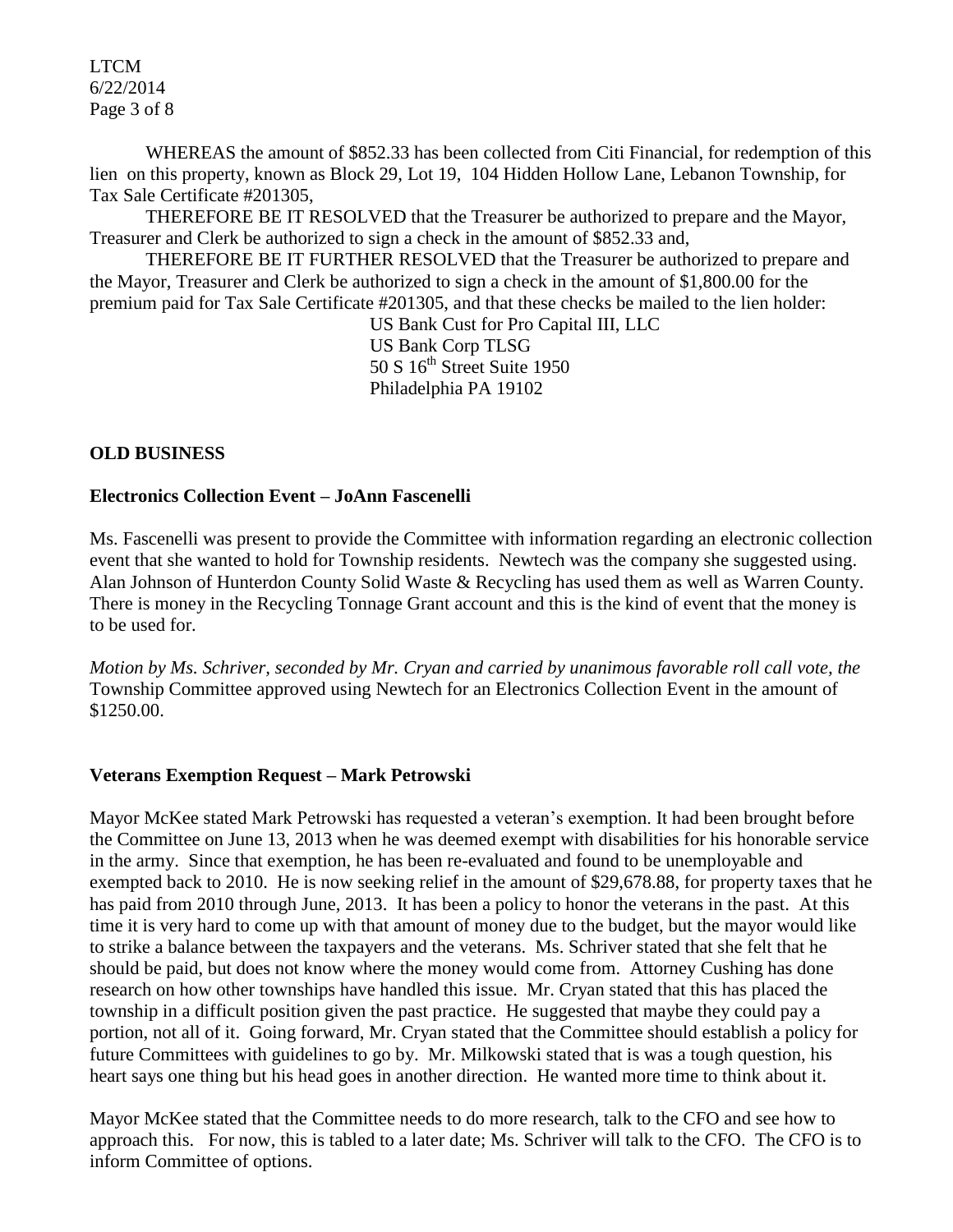LTCM 6/22/2014 Page 3 of 8

WHEREAS the amount of \$852.33 has been collected from Citi Financial, for redemption of this lien on this property, known as Block 29, Lot 19, 104 Hidden Hollow Lane, Lebanon Township, for Tax Sale Certificate #201305,

THEREFORE BE IT RESOLVED that the Treasurer be authorized to prepare and the Mayor, Treasurer and Clerk be authorized to sign a check in the amount of \$852.33 and,

THEREFORE BE IT FURTHER RESOLVED that the Treasurer be authorized to prepare and the Mayor, Treasurer and Clerk be authorized to sign a check in the amount of \$1,800.00 for the premium paid for Tax Sale Certificate #201305, and that these checks be mailed to the lien holder:

US Bank Cust for Pro Capital III, LLC US Bank Corp TLSG  $50 S 16<sup>th</sup> Street Suite 1950$ Philadelphia PA 19102

## **OLD BUSINESS**

### **Electronics Collection Event – JoAnn Fascenelli**

Ms. Fascenelli was present to provide the Committee with information regarding an electronic collection event that she wanted to hold for Township residents. Newtech was the company she suggested using. Alan Johnson of Hunterdon County Solid Waste & Recycling has used them as well as Warren County. There is money in the Recycling Tonnage Grant account and this is the kind of event that the money is to be used for.

*Motion by Ms. Schriver, seconded by Mr. Cryan and carried by unanimous favorable roll call vote, the*  Township Committee approved using Newtech for an Electronics Collection Event in the amount of \$1250.00.

#### **Veterans Exemption Request – Mark Petrowski**

Mayor McKee stated Mark Petrowski has requested a veteran's exemption. It had been brought before the Committee on June 13, 2013 when he was deemed exempt with disabilities for his honorable service in the army. Since that exemption, he has been re-evaluated and found to be unemployable and exempted back to 2010. He is now seeking relief in the amount of \$29,678.88, for property taxes that he has paid from 2010 through June, 2013. It has been a policy to honor the veterans in the past. At this time it is very hard to come up with that amount of money due to the budget, but the mayor would like to strike a balance between the taxpayers and the veterans. Ms. Schriver stated that she felt that he should be paid, but does not know where the money would come from. Attorney Cushing has done research on how other townships have handled this issue. Mr. Cryan stated that this has placed the township in a difficult position given the past practice. He suggested that maybe they could pay a portion, not all of it. Going forward, Mr. Cryan stated that the Committee should establish a policy for future Committees with guidelines to go by. Mr. Milkowski stated that is was a tough question, his heart says one thing but his head goes in another direction. He wanted more time to think about it.

Mayor McKee stated that the Committee needs to do more research, talk to the CFO and see how to approach this. For now, this is tabled to a later date; Ms. Schriver will talk to the CFO. The CFO is to inform Committee of options.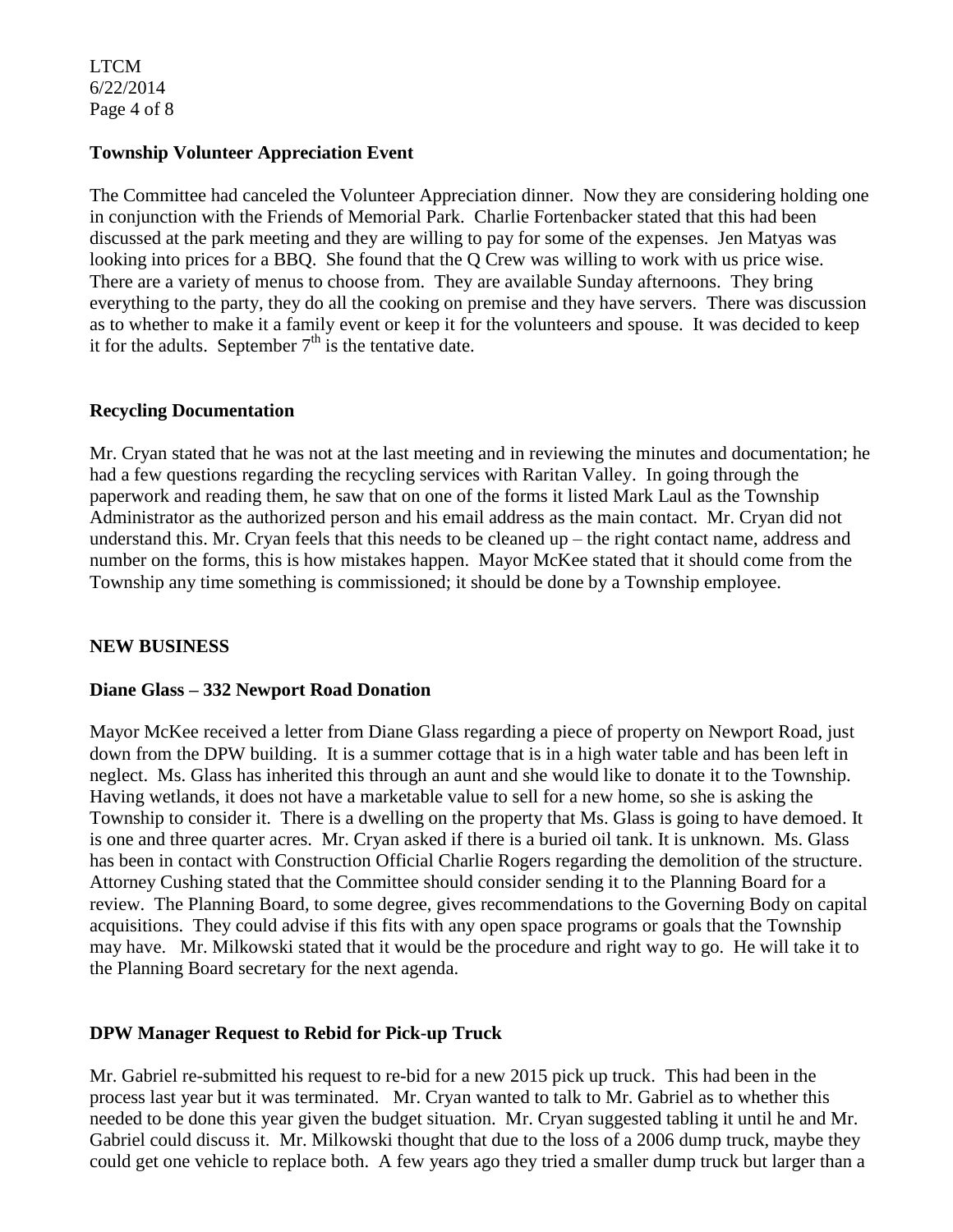LTCM 6/22/2014 Page 4 of 8

### **Township Volunteer Appreciation Event**

The Committee had canceled the Volunteer Appreciation dinner. Now they are considering holding one in conjunction with the Friends of Memorial Park. Charlie Fortenbacker stated that this had been discussed at the park meeting and they are willing to pay for some of the expenses. Jen Matyas was looking into prices for a BBQ. She found that the Q Crew was willing to work with us price wise. There are a variety of menus to choose from. They are available Sunday afternoons. They bring everything to the party, they do all the cooking on premise and they have servers. There was discussion as to whether to make it a family event or keep it for the volunteers and spouse. It was decided to keep it for the adults. September  $7<sup>th</sup>$  is the tentative date.

### **Recycling Documentation**

Mr. Cryan stated that he was not at the last meeting and in reviewing the minutes and documentation; he had a few questions regarding the recycling services with Raritan Valley. In going through the paperwork and reading them, he saw that on one of the forms it listed Mark Laul as the Township Administrator as the authorized person and his email address as the main contact. Mr. Cryan did not understand this. Mr. Cryan feels that this needs to be cleaned up – the right contact name, address and number on the forms, this is how mistakes happen. Mayor McKee stated that it should come from the Township any time something is commissioned; it should be done by a Township employee.

#### **NEW BUSINESS**

#### **Diane Glass – 332 Newport Road Donation**

Mayor McKee received a letter from Diane Glass regarding a piece of property on Newport Road, just down from the DPW building. It is a summer cottage that is in a high water table and has been left in neglect. Ms. Glass has inherited this through an aunt and she would like to donate it to the Township. Having wetlands, it does not have a marketable value to sell for a new home, so she is asking the Township to consider it. There is a dwelling on the property that Ms. Glass is going to have demoed. It is one and three quarter acres. Mr. Cryan asked if there is a buried oil tank. It is unknown. Ms. Glass has been in contact with Construction Official Charlie Rogers regarding the demolition of the structure. Attorney Cushing stated that the Committee should consider sending it to the Planning Board for a review. The Planning Board, to some degree, gives recommendations to the Governing Body on capital acquisitions. They could advise if this fits with any open space programs or goals that the Township may have. Mr. Milkowski stated that it would be the procedure and right way to go. He will take it to the Planning Board secretary for the next agenda.

## **DPW Manager Request to Rebid for Pick-up Truck**

Mr. Gabriel re-submitted his request to re-bid for a new 2015 pick up truck. This had been in the process last year but it was terminated. Mr. Cryan wanted to talk to Mr. Gabriel as to whether this needed to be done this year given the budget situation. Mr. Cryan suggested tabling it until he and Mr. Gabriel could discuss it. Mr. Milkowski thought that due to the loss of a 2006 dump truck, maybe they could get one vehicle to replace both. A few years ago they tried a smaller dump truck but larger than a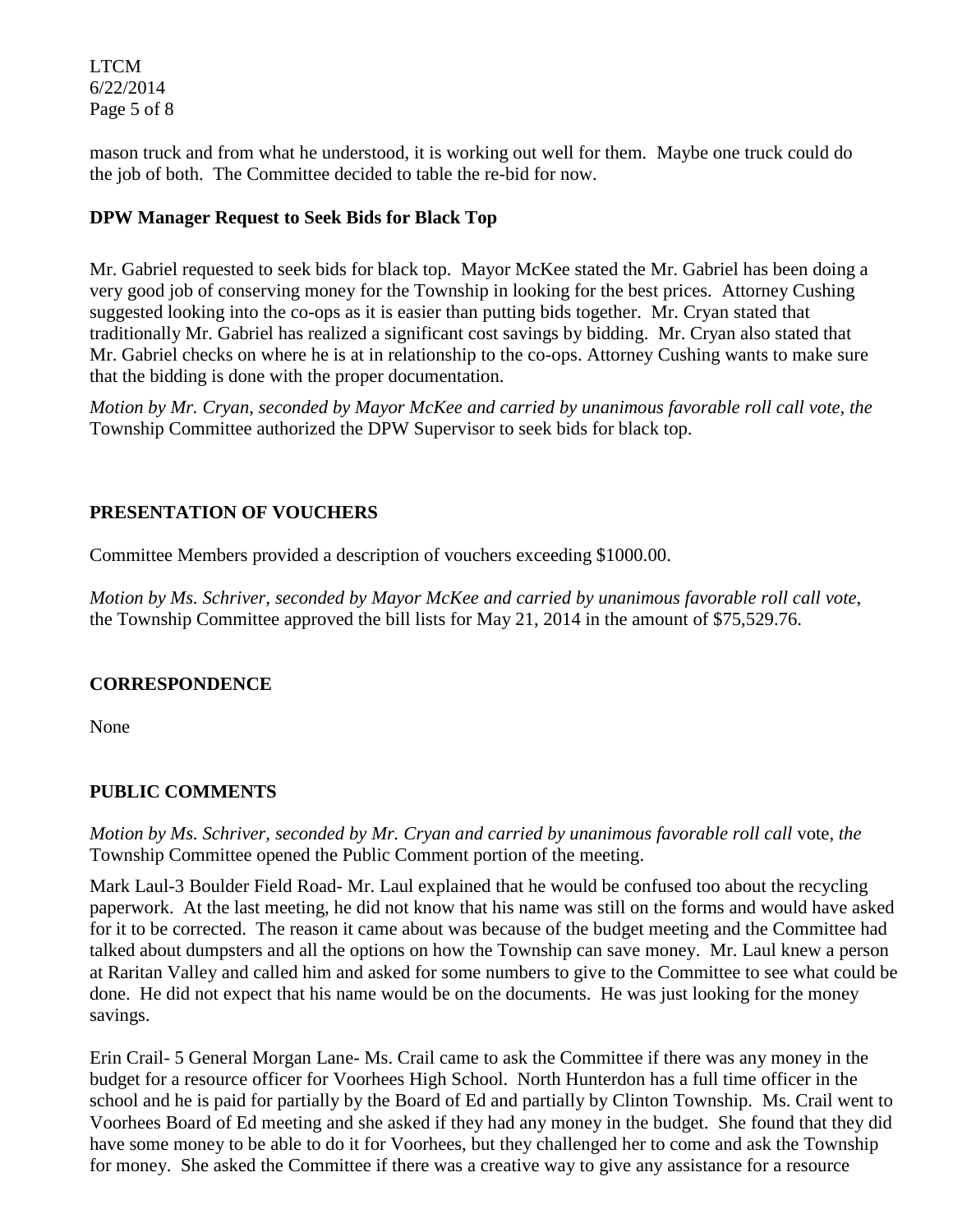LTCM 6/22/2014 Page 5 of 8

mason truck and from what he understood, it is working out well for them. Maybe one truck could do the job of both. The Committee decided to table the re-bid for now.

# **DPW Manager Request to Seek Bids for Black Top**

Mr. Gabriel requested to seek bids for black top. Mayor McKee stated the Mr. Gabriel has been doing a very good job of conserving money for the Township in looking for the best prices. Attorney Cushing suggested looking into the co-ops as it is easier than putting bids together. Mr. Cryan stated that traditionally Mr. Gabriel has realized a significant cost savings by bidding. Mr. Cryan also stated that Mr. Gabriel checks on where he is at in relationship to the co-ops. Attorney Cushing wants to make sure that the bidding is done with the proper documentation.

*Motion by Mr. Cryan, seconded by Mayor McKee and carried by unanimous favorable roll call vote, the* Township Committee authorized the DPW Supervisor to seek bids for black top.

### **PRESENTATION OF VOUCHERS**

Committee Members provided a description of vouchers exceeding \$1000.00.

*Motion by Ms. Schriver, seconded by Mayor McKee and carried by unanimous favorable roll call vote*, the Township Committee approved the bill lists for May 21, 2014 in the amount of \$75,529.76.

## **CORRESPONDENCE**

None

## **PUBLIC COMMENTS**

*Motion by Ms. Schriver, seconded by Mr. Cryan and carried by unanimous favorable roll call* vote, *the*  Township Committee opened the Public Comment portion of the meeting.

Mark Laul-3 Boulder Field Road- Mr. Laul explained that he would be confused too about the recycling paperwork. At the last meeting, he did not know that his name was still on the forms and would have asked for it to be corrected. The reason it came about was because of the budget meeting and the Committee had talked about dumpsters and all the options on how the Township can save money. Mr. Laul knew a person at Raritan Valley and called him and asked for some numbers to give to the Committee to see what could be done. He did not expect that his name would be on the documents. He was just looking for the money savings.

Erin Crail- 5 General Morgan Lane- Ms. Crail came to ask the Committee if there was any money in the budget for a resource officer for Voorhees High School. North Hunterdon has a full time officer in the school and he is paid for partially by the Board of Ed and partially by Clinton Township. Ms. Crail went to Voorhees Board of Ed meeting and she asked if they had any money in the budget. She found that they did have some money to be able to do it for Voorhees, but they challenged her to come and ask the Township for money. She asked the Committee if there was a creative way to give any assistance for a resource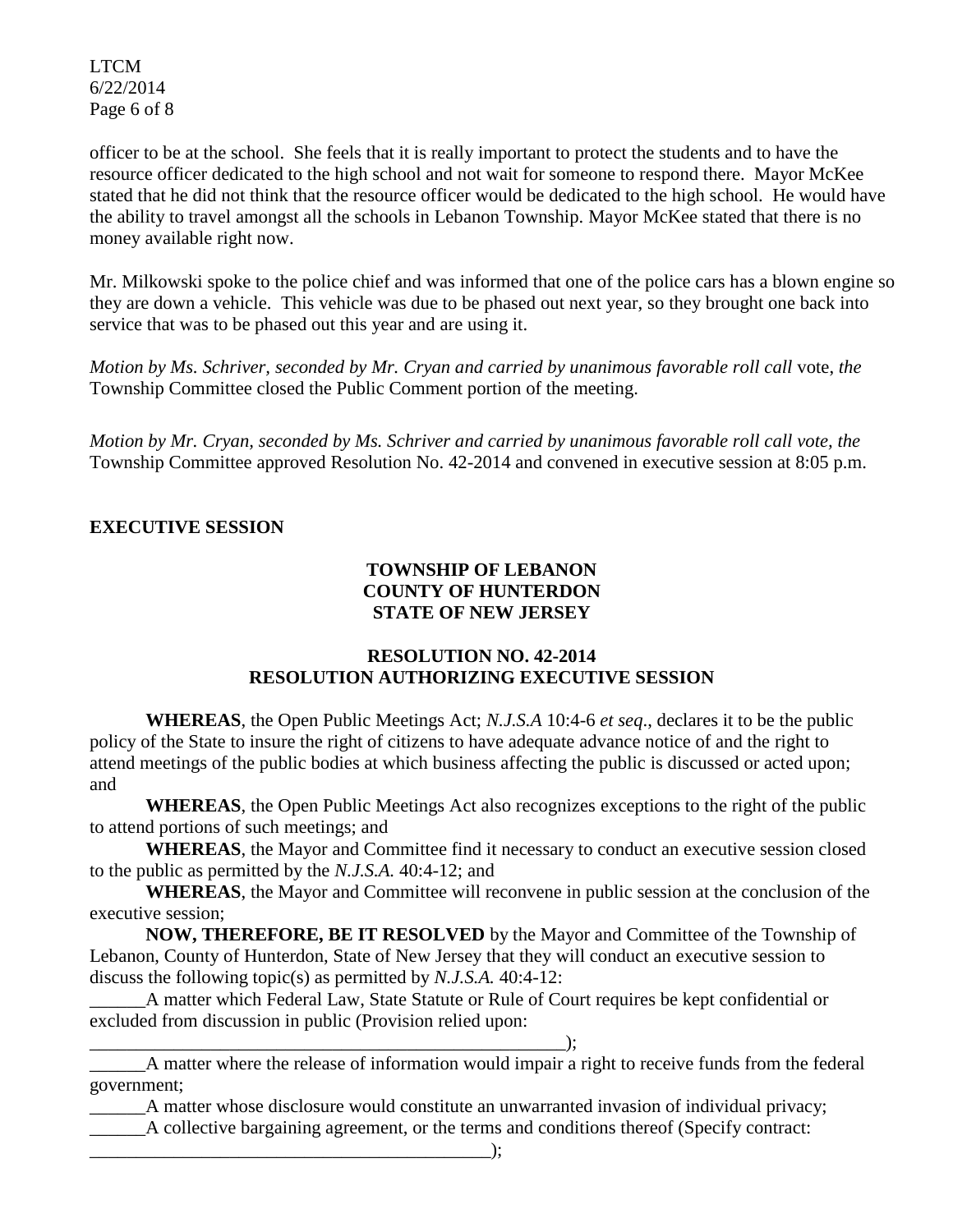LTCM 6/22/2014 Page 6 of 8

officer to be at the school. She feels that it is really important to protect the students and to have the resource officer dedicated to the high school and not wait for someone to respond there. Mayor McKee stated that he did not think that the resource officer would be dedicated to the high school. He would have the ability to travel amongst all the schools in Lebanon Township. Mayor McKee stated that there is no money available right now.

Mr. Milkowski spoke to the police chief and was informed that one of the police cars has a blown engine so they are down a vehicle. This vehicle was due to be phased out next year, so they brought one back into service that was to be phased out this year and are using it.

*Motion by Ms. Schriver, seconded by Mr. Cryan and carried by unanimous favorable roll call* vote, *the*  Township Committee closed the Public Comment portion of the meeting.

*Motion by Mr. Cryan, seconded by Ms. Schriver and carried by unanimous favorable roll call vote, the* Township Committee approved Resolution No. 42-2014 and convened in executive session at 8:05 p.m.

## **EXECUTIVE SESSION**

## **TOWNSHIP OF LEBANON COUNTY OF HUNTERDON STATE OF NEW JERSEY**

### **RESOLUTION NO. 42-2014 RESOLUTION AUTHORIZING EXECUTIVE SESSION**

**WHEREAS**, the Open Public Meetings Act; *N.J.S.A* 10:4-6 *et seq*., declares it to be the public policy of the State to insure the right of citizens to have adequate advance notice of and the right to attend meetings of the public bodies at which business affecting the public is discussed or acted upon; and

**WHEREAS**, the Open Public Meetings Act also recognizes exceptions to the right of the public to attend portions of such meetings; and

**WHEREAS**, the Mayor and Committee find it necessary to conduct an executive session closed to the public as permitted by the *N.J.S.A.* 40:4-12; and

**WHEREAS**, the Mayor and Committee will reconvene in public session at the conclusion of the executive session;

**NOW, THEREFORE, BE IT RESOLVED** by the Mayor and Committee of the Township of Lebanon, County of Hunterdon, State of New Jersey that they will conduct an executive session to discuss the following topic(s) as permitted by *N.J.S.A.* 40:4-12:

\_\_\_\_\_\_A matter which Federal Law, State Statute or Rule of Court requires be kept confidential or excluded from discussion in public (Provision relied upon:

\_\_\_\_\_\_\_\_\_\_\_\_\_\_\_\_\_\_\_\_\_\_\_\_\_\_\_\_\_\_\_\_\_\_\_\_\_\_\_\_\_\_\_\_\_\_\_\_\_\_\_);

\_\_\_\_\_\_A matter where the release of information would impair a right to receive funds from the federal government;

\_\_\_\_\_\_A matter whose disclosure would constitute an unwarranted invasion of individual privacy;

\_\_\_\_\_\_A collective bargaining agreement, or the terms and conditions thereof (Specify contract: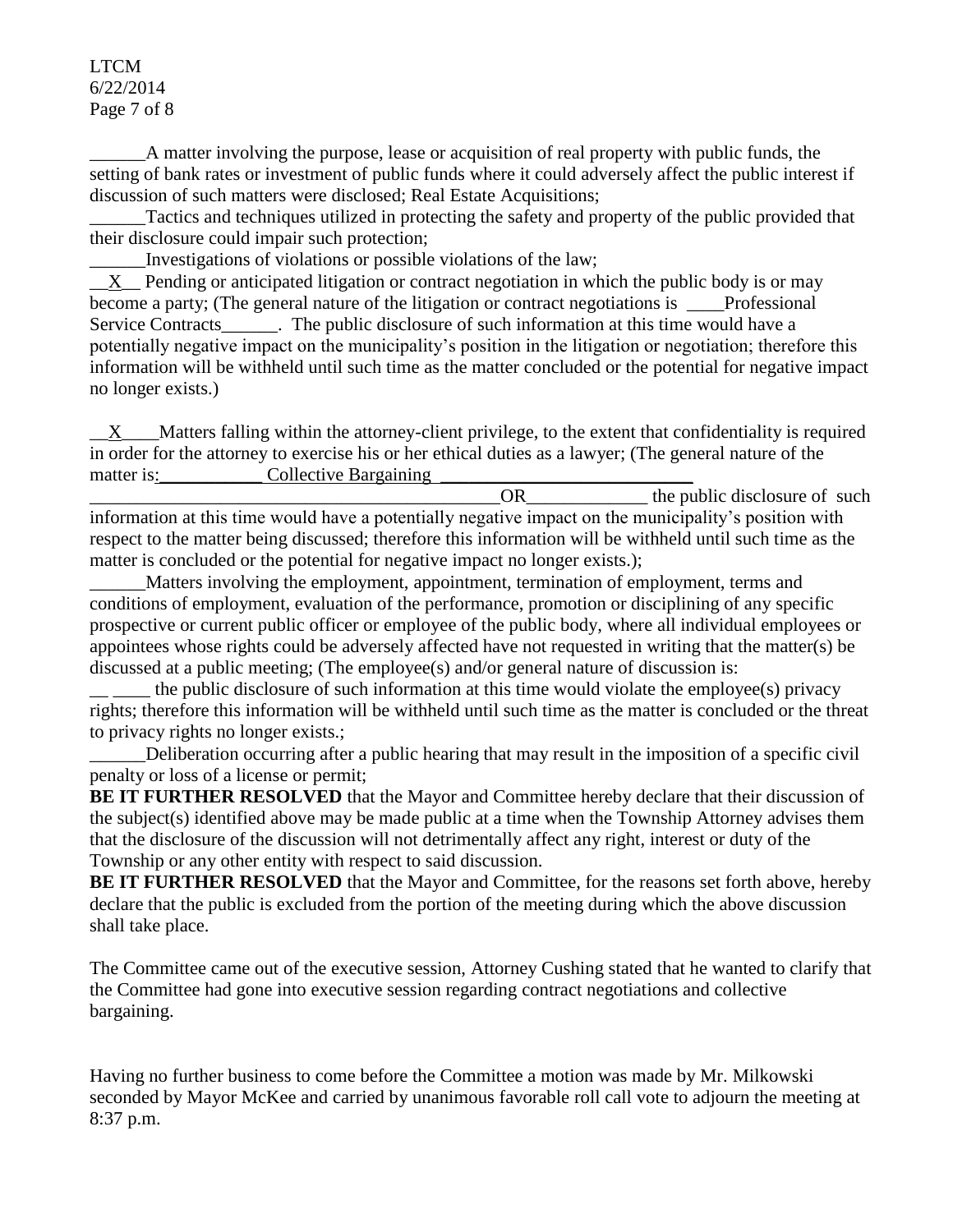#### LTCM 6/22/2014 Page 7 of 8

\_\_\_\_\_\_A matter involving the purpose, lease or acquisition of real property with public funds, the setting of bank rates or investment of public funds where it could adversely affect the public interest if discussion of such matters were disclosed; Real Estate Acquisitions;

Tactics and techniques utilized in protecting the safety and property of the public provided that their disclosure could impair such protection;

\_\_\_\_\_\_Investigations of violations or possible violations of the law;

 $X$  Pending or anticipated litigation or contract negotiation in which the public body is or may become a party; (The general nature of the litigation or contract negotiations is Professional Service Contracts\_\_\_\_\_\_. The public disclosure of such information at this time would have a potentially negative impact on the municipality's position in the litigation or negotiation; therefore this information will be withheld until such time as the matter concluded or the potential for negative impact no longer exists.)

 $\underline{X}$  Matters falling within the attorney-client privilege, to the extent that confidentiality is required in order for the attorney to exercise his or her ethical duties as a lawyer; (The general nature of the matter is: Collective Bargaining

OR the public disclosure of such information at this time would have a potentially negative impact on the municipality's position with respect to the matter being discussed; therefore this information will be withheld until such time as the matter is concluded or the potential for negative impact no longer exists.);

Matters involving the employment, appointment, termination of employment, terms and conditions of employment, evaluation of the performance, promotion or disciplining of any specific prospective or current public officer or employee of the public body, where all individual employees or appointees whose rights could be adversely affected have not requested in writing that the matter(s) be discussed at a public meeting; (The employee(s) and/or general nature of discussion is:

the public disclosure of such information at this time would violate the employee(s) privacy rights; therefore this information will be withheld until such time as the matter is concluded or the threat to privacy rights no longer exists.;

Deliberation occurring after a public hearing that may result in the imposition of a specific civil penalty or loss of a license or permit;

**BE IT FURTHER RESOLVED** that the Mayor and Committee hereby declare that their discussion of the subject(s) identified above may be made public at a time when the Township Attorney advises them that the disclosure of the discussion will not detrimentally affect any right, interest or duty of the Township or any other entity with respect to said discussion.

**BE IT FURTHER RESOLVED** that the Mayor and Committee, for the reasons set forth above, hereby declare that the public is excluded from the portion of the meeting during which the above discussion shall take place.

The Committee came out of the executive session, Attorney Cushing stated that he wanted to clarify that the Committee had gone into executive session regarding contract negotiations and collective bargaining.

Having no further business to come before the Committee a motion was made by Mr. Milkowski seconded by Mayor McKee and carried by unanimous favorable roll call vote to adjourn the meeting at 8:37 p.m.